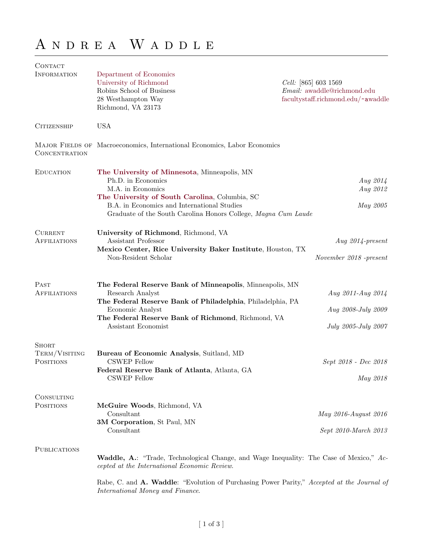## A  $N$  D  $R$   $E$  A  $\,$  W  $\,$  A  $D$  D  $L$   $E$

| CONTACT                                    |                                                                                                                                                                                                                                                            |                                                                                                  |  |
|--------------------------------------------|------------------------------------------------------------------------------------------------------------------------------------------------------------------------------------------------------------------------------------------------------------|--------------------------------------------------------------------------------------------------|--|
| <b>INFORMATION</b>                         | Department of Economics<br>University of Richmond<br>Robins School of Business<br>28 Westhampton Way<br>Richmond, VA 23173                                                                                                                                 | <i>Cell:</i> [865] 603 1569<br>Email: awaddle@richmond.edu<br>facultystaff.richmond.edu/~awaddle |  |
| <b>CITIZENSHIP</b>                         | <b>USA</b>                                                                                                                                                                                                                                                 |                                                                                                  |  |
| CONCENTRATION                              | MAJOR FIELDS OF Macroeconomics, International Economics, Labor Economics                                                                                                                                                                                   |                                                                                                  |  |
| <b>EDUCATION</b>                           | The University of Minnesota, Minneapolis, MN<br>Ph.D. in Economics<br>M.A. in Economics<br>The University of South Carolina, Columbia, SC<br>B.A. in Economics and International Studies<br>Graduate of the South Carolina Honors College, Magna Cum Laude | Aug 2014<br>Aug 2012<br>May 2005                                                                 |  |
| <b>CURRENT</b><br><b>AFFILIATIONS</b>      | University of Richmond, Richmond, VA<br>Assistant Professor<br>Mexico Center, Rice University Baker Institute, Houston, TX<br>Non-Resident Scholar                                                                                                         | Aug $2014$ -present<br>November 2018 - present                                                   |  |
| PAST<br><b>AFFILIATIONS</b>                | The Federal Reserve Bank of Minneapolis, Minneapolis, MN<br>Research Analyst<br>The Federal Reserve Bank of Philadelphia, Philadelphia, PA<br>Economic Analyst<br>The Federal Reserve Bank of Richmond, Richmond, VA<br>Assistant Economist                | Aug 2011-Aug 2014<br>Aug 2008-July 2009<br>July 2005-July 2007                                   |  |
| <b>SHORT</b><br>TERM/VISITING<br>POSITIONS | Bureau of Economic Analysis, Suitland, MD<br><b>CSWEP</b> Fellow<br>Federal Reserve Bank of Atlanta, Atlanta, GA<br><b>CSWEP Fellow</b>                                                                                                                    | Sept 2018 - Dec 2018<br>May 2018                                                                 |  |
| CONSULTING<br><b>POSITIONS</b>             | McGuire Woods, Richmond, VA<br>Consultant<br>3M Corporation, St Paul, MN<br>Consultant                                                                                                                                                                     | May 2016-August 2016<br>Sept 2010-March 2013                                                     |  |
| <b>PUBLICATIONS</b>                        | <b>Waddle, A.:</b> "Trade, Technological Change, and Wage Inequality: The Case of Mexico," Ac-<br>cepted at the International Economic Review.                                                                                                             |                                                                                                  |  |
|                                            | Rabe, C. and A. Waddle: "Evolution of Purchasing Power Parity," Accepted at the Journal of                                                                                                                                                                 |                                                                                                  |  |

[ 1 of 3 ]

International Money and Finance.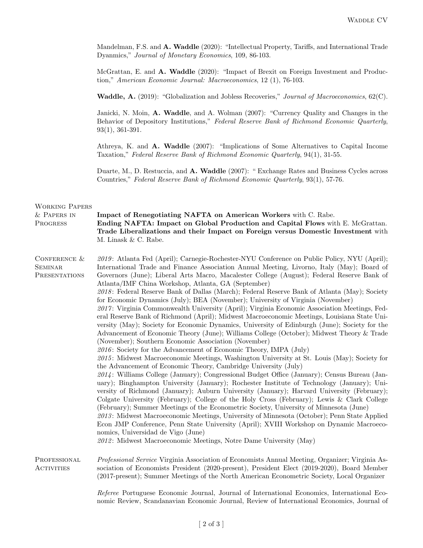Mandelman, F.S. and A. Waddle (2020): "Intellectual Property, Tariffs, and International Trade Dyanmics," Journal of Monetary Economics, 109, 86-103.

McGrattan, E. and A. Waddle (2020): "Impact of Brexit on Foreign Investment and Production," American Economic Journal: Macroeconomics, 12 (1), 76-103.

Waddle, A. (2019): "Globalization and Jobless Recoveries," Journal of Macroeconomics, 62(C).

Janicki, N. Moin, A. Waddle, and A. Wolman (2007): "Currency Quality and Changes in the Behavior of Depository Institutions," Federal Reserve Bank of Richmond Economic Quarterly, 93(1), 361-391.

Athreya, K. and A. Waddle (2007): "Implications of Some Alternatives to Capital Income Taxation," Federal Reserve Bank of Richmond Economic Quarterly, 94(1), 31-55.

Duarte, M., D. Restuccia, and A. Waddle (2007): " Exchange Rates and Business Cycles across Countries," Federal Reserve Bank of Richmond Economic Quarterly, 93(1), 57-76.

| <b>WORKING PAPERS</b><br>& PAPERS IN<br>PROGRESS | Impact of Renegotiating NAFTA on American Workers with C. Rabe.<br>Ending NAFTA: Impact on Global Production and Capital Flows with E. McGrattan.<br>Trade Liberalizations and their Impact on Foreign versus Domestic Investment with<br>M. Linask & C. Rabe.                                                                                                                                                                                                                                                                                                                                                                                                                                                                                                                                                                                                                                                                                                                                                                                                                                                                                                                                                                                                                                                                                                                                                                                                                                                                                                                                                                                                                                                                                                                                                                                                                                                                                                                                                         |
|--------------------------------------------------|------------------------------------------------------------------------------------------------------------------------------------------------------------------------------------------------------------------------------------------------------------------------------------------------------------------------------------------------------------------------------------------------------------------------------------------------------------------------------------------------------------------------------------------------------------------------------------------------------------------------------------------------------------------------------------------------------------------------------------------------------------------------------------------------------------------------------------------------------------------------------------------------------------------------------------------------------------------------------------------------------------------------------------------------------------------------------------------------------------------------------------------------------------------------------------------------------------------------------------------------------------------------------------------------------------------------------------------------------------------------------------------------------------------------------------------------------------------------------------------------------------------------------------------------------------------------------------------------------------------------------------------------------------------------------------------------------------------------------------------------------------------------------------------------------------------------------------------------------------------------------------------------------------------------------------------------------------------------------------------------------------------------|
| CONFERENCE &<br><b>SEMINAR</b><br>PRESENTATIONS  | 2019: Atlanta Fed (April); Carnegie-Rochester-NYU Conference on Public Policy, NYU (April);<br>International Trade and Finance Association Annual Meeting, Livorno, Italy (May); Board of<br>Governors (June); Liberal Arts Macro, Macalester College (August); Federal Reserve Bank of<br>Atlanta/IMF China Workshop, Atlanta, GA (September)<br>2018: Federal Reserve Bank of Dallas (March); Federal Reserve Bank of Atlanta (May); Society<br>for Economic Dynamics (July); BEA (November); University of Virginia (November)<br>2017: Virginia Commonwealth University (April); Virginia Economic Association Meetings, Fed-<br>eral Reserve Bank of Richmond (April); Midwest Macroeconomic Meetings, Louisiana State Uni-<br>versity (May); Society for Economic Dynamics, University of Edinburgh (June); Society for the<br>Advancement of Economic Theory (June); Williams College (October); Midwest Theory & Trade<br>(November); Southern Economic Association (November)<br>2016: Society for the Advancement of Economic Theory, IMPA (July)<br>2015: Midwest Macroeconomic Meetings, Washington University at St. Louis (May); Society for<br>the Advancement of Economic Theory, Cambridge University (July)<br>2014: Williams College (January); Congressional Budget Office (January); Census Bureau (Jan-<br>uary); Binghampton University (January); Rochester Institute of Technology (January); Uni-<br>versity of Richmond (January); Auburn University (January); Harvard University (February);<br>Colgate University (February); College of the Holy Cross (February); Lewis & Clark College<br>(February); Summer Meetings of the Econometric Society, University of Minnesota (June)<br>2013: Midwest Macroeconomic Meetings, University of Minnesota (October); Penn State Applied<br>Econ JMP Conference, Penn State University (April); XVIII Workshop on Dynamic Macroeco-<br>nomics, Universidad de Vigo (June)<br>2012: Midwest Macroeconomic Meetings, Notre Dame University (May) |
| PROFESSIONAL<br>ACTIVITIES                       | Professional Service Virginia Association of Economists Annual Meeting, Organizer; Virginia As-<br>sociation of Economists President (2020-present), President Elect (2019-2020), Board Member<br>(2017-present); Summer Meetings of the North American Econometric Society, Local Organizer                                                                                                                                                                                                                                                                                                                                                                                                                                                                                                                                                                                                                                                                                                                                                                                                                                                                                                                                                                                                                                                                                                                                                                                                                                                                                                                                                                                                                                                                                                                                                                                                                                                                                                                           |
|                                                  | Referee Portuguese Economic Journal, Journal of International Economics, International Eco-<br>nomic Review, Scandanavian Economic Journal, Review of International Economics, Journal of                                                                                                                                                                                                                                                                                                                                                                                                                                                                                                                                                                                                                                                                                                                                                                                                                                                                                                                                                                                                                                                                                                                                                                                                                                                                                                                                                                                                                                                                                                                                                                                                                                                                                                                                                                                                                              |